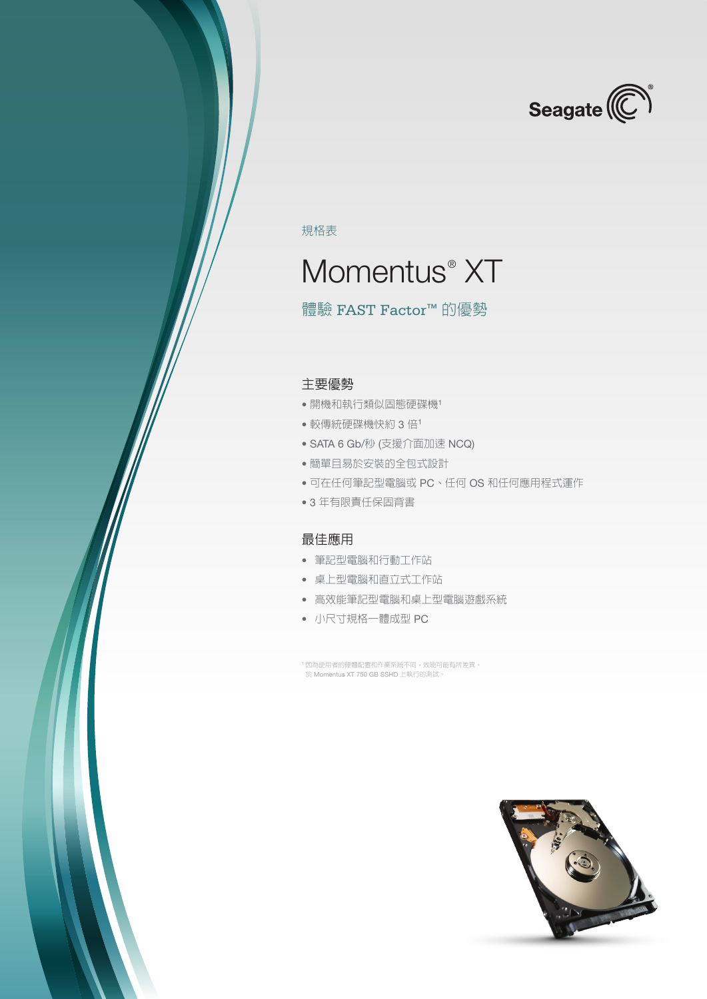

規格表

# Momentus<sup>®</sup> XT

### 體驗 FAST Factor™ 的優勢

#### 主要優勢

- 開機和執行類似固態硬碟機<sup>1</sup>
- 較傳統硬碟機快約 3 倍<sup>1</sup>
- SATA 6 Gb/秒 (支援介面加速 NCQ)
- 簡單且易於安裝的全包式設計
- 可在任何筆記型電腦或 PC、任何 OS 和任何應用程式運作
- 3 年有限責任保固背書

#### 最佳應用

- 筆記型電腦和行動工作站
- 桌上型電腦和直立式工作站
- 高效能筆記型電腦和桌上型電腦遊戲系統
- 小尺寸規格一體成型 PC

<sup>1</sup> 因為使用者的硬體配置和作業系統不同,效能可能有所差異。 於 Momentus XT 750 GB SSHD 上執行的測試。